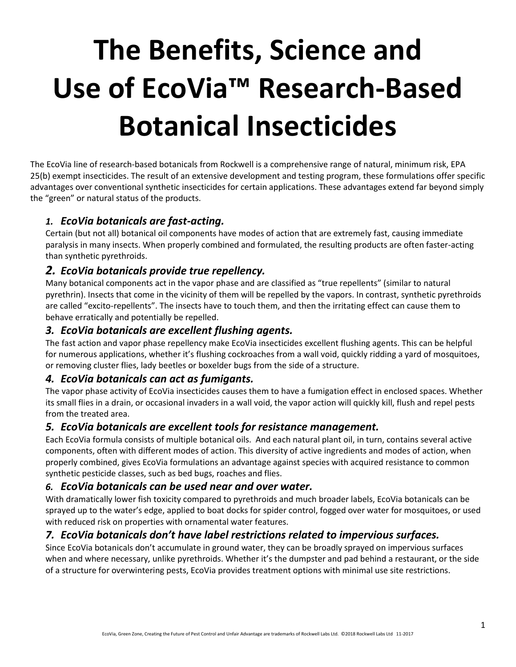# **The Benefits, Science and Use of EcoVia™ Research-Based Botanical Insecticides**

The EcoVia line of research-based botanicals from Rockwell is a comprehensive range of natural, minimum risk, EPA 25(b) exempt insecticides. The result of an extensive development and testing program, these formulations offer specific advantages over conventional synthetic insecticides for certain applications. These advantages extend far beyond simply the "green" or natural status of the products.

## *1. EcoVia botanicals are fast-acting.*

Certain (but not all) botanical oil components have modes of action that are extremely fast, causing immediate paralysis in many insects. When properly combined and formulated, the resulting products are often faster-acting than synthetic pyrethroids.

## *2. EcoVia botanicals provide true repellency.*

Many botanical components act in the vapor phase and are classified as "true repellents" (similar to natural pyrethrin). Insects that come in the vicinity of them will be repelled by the vapors. In contrast, synthetic pyrethroids are called "excito-repellents". The insects have to touch them, and then the irritating effect can cause them to behave erratically and potentially be repelled.

## *3. EcoVia botanicals are excellent flushing agents.*

The fast action and vapor phase repellency make EcoVia insecticides excellent flushing agents. This can be helpful for numerous applications, whether it's flushing cockroaches from a wall void, quickly ridding a yard of mosquitoes, or removing cluster flies, lady beetles or boxelder bugs from the side of a structure.

## *4. EcoVia botanicals can act as fumigants.*

The vapor phase activity of EcoVia insecticides causes them to have a fumigation effect in enclosed spaces. Whether its small flies in a drain, or occasional invaders in a wall void, the vapor action will quickly kill, flush and repel pests from the treated area.

## *5. EcoVia botanicals are excellent tools for resistance management.*

Each EcoVia formula consists of multiple botanical oils. And each natural plant oil, in turn, contains several active components, often with different modes of action. This diversity of active ingredients and modes of action, when properly combined, gives EcoVia formulations an advantage against species with acquired resistance to common synthetic pesticide classes, such as bed bugs, roaches and flies.

## *6. EcoVia botanicals can be used near and over water.*

With dramatically lower fish toxicity compared to pyrethroids and much broader labels, EcoVia botanicals can be sprayed up to the water's edge, applied to boat docks for spider control, fogged over water for mosquitoes, or used with reduced risk on properties with ornamental water features.

## *7. EcoVia botanicals don't have label restrictions related to impervious surfaces.*

Since EcoVia botanicals don't accumulate in ground water, they can be broadly sprayed on impervious surfaces when and where necessary, unlike pyrethroids. Whether it's the dumpster and pad behind a restaurant, or the side of a structure for overwintering pests, EcoVia provides treatment options with minimal use site restrictions.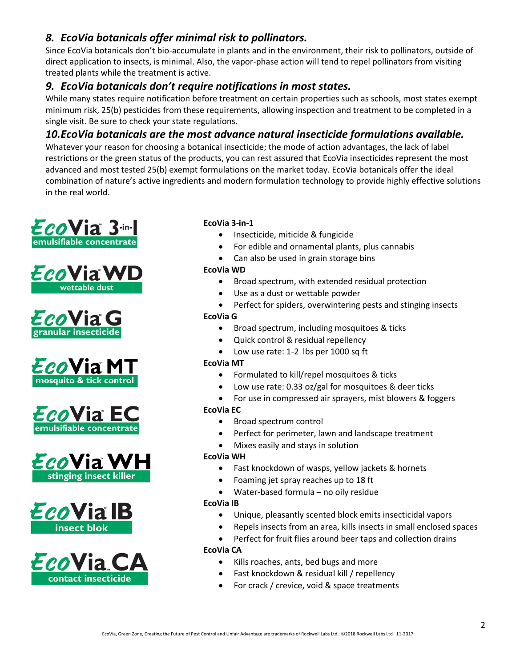# *8. EcoVia botanicals offer minimal risk to pollinators.*

Since EcoVia botanicals don't bio-accumulate in plants and in the environment, their risk to pollinators, outside of direct application to insects, is minimal. Also, the vapor-phase action will tend to repel pollinators from visiting treated plants while the treatment is active.

# *9. EcoVia botanicals don't require notifications in most states.*

While many states require notification before treatment on certain properties such as schools, most states exempt minimum risk, 25(b) pesticides from these requirements, allowing inspection and treatment to be completed in a single visit. Be sure to check your state regulations.

# *10.EcoVia botanicals are the most advance natural insecticide formulations available.*

Whatever your reason for choosing a botanical insecticide; the mode of action advantages, the lack of label restrictions or the green status of the products, you can rest assured that EcoVia insecticides represent the most advanced and most tested 25(b) exempt formulations on the market today. EcoVia botanicals offer the ideal combination of nature's active ingredients and modern formulation technology to provide highly effective solutions in the real world.

















## **EcoVia 3-in-1**

- Insecticide, miticide & fungicide
- For edible and ornamental plants, plus cannabis
- Can also be used in grain storage bins

### **EcoVia WD**

- Broad spectrum, with extended residual protection
- Use as a dust or wettable powder
- Perfect for spiders, overwintering pests and stinging insects

### **EcoVia G**

- **•** Broad spectrum, including mosquitoes & ticks
- Quick control & residual repellency
- Low use rate: 1-2 lbs per 1000 sq ft

#### **EcoVia MT**

- Formulated to kill/repel mosquitoes & ticks
- Low use rate: 0.33 oz/gal for mosquitoes & deer ticks
- For use in compressed air sprayers, mist blowers & foggers

#### **EcoVia EC**

- Broad spectrum control
- Perfect for perimeter, lawn and landscape treatment
- Mixes easily and stays in solution

#### **EcoVia WH**

- Fast knockdown of wasps, yellow jackets & hornets
- Foaming jet spray reaches up to 18 ft
- Water-based formula no oily residue

#### **EcoVia IB**

- Unique, pleasantly scented block emits insecticidal vapors
	- Repels insects from an area, kills insects in small enclosed spaces
- Perfect for fruit flies around beer taps and collection drains

#### **EcoVia CA**

- Kills roaches, ants, bed bugs and more
- Fast knockdown & residual kill / repellency
- For crack / crevice, void & space treatments